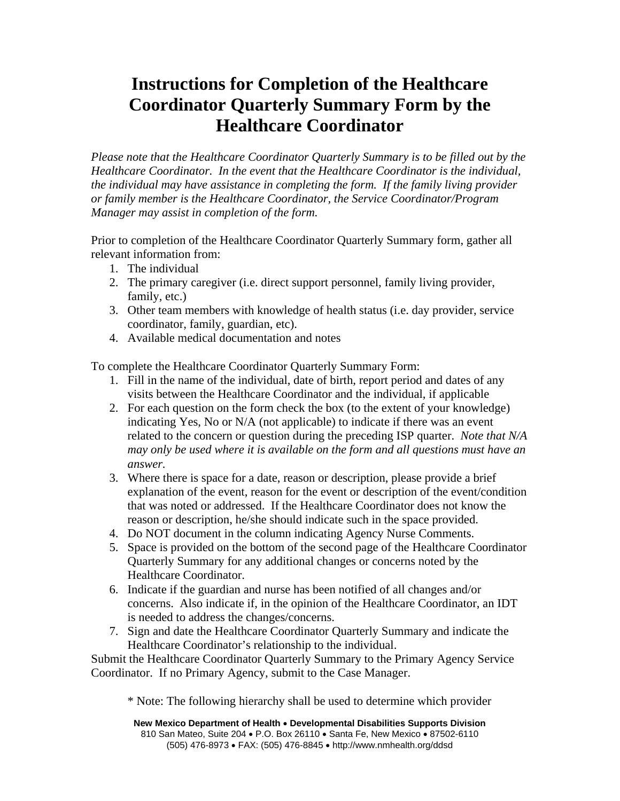## **Instructions for Completion of the Healthcare Coordinator Quarterly Summary Form by the Healthcare Coordinator**

*Please note that the Healthcare Coordinator Quarterly Summary is to be filled out by the Healthcare Coordinator. In the event that the Healthcare Coordinator is the individual, the individual may have assistance in completing the form. If the family living provider or family member is the Healthcare Coordinator, the Service Coordinator/Program Manager may assist in completion of the form.* 

Prior to completion of the Healthcare Coordinator Quarterly Summary form, gather all relevant information from:

- 1. The individual
- 2. The primary caregiver (i.e. direct support personnel, family living provider, family, etc.)
- 3. Other team members with knowledge of health status (i.e. day provider, service coordinator, family, guardian, etc).
- 4. Available medical documentation and notes

To complete the Healthcare Coordinator Quarterly Summary Form:

- 1. Fill in the name of the individual, date of birth, report period and dates of any visits between the Healthcare Coordinator and the individual, if applicable
- 2. For each question on the form check the box (to the extent of your knowledge) indicating Yes, No or N/A (not applicable) to indicate if there was an event related to the concern or question during the preceding ISP quarter. *Note that N/A may only be used where it is available on the form and all questions must have an answer.*
- 3. Where there is space for a date, reason or description, please provide a brief explanation of the event, reason for the event or description of the event/condition that was noted or addressed. If the Healthcare Coordinator does not know the reason or description, he/she should indicate such in the space provided.
- 4. Do NOT document in the column indicating Agency Nurse Comments.
- 5. Space is provided on the bottom of the second page of the Healthcare Coordinator Quarterly Summary for any additional changes or concerns noted by the Healthcare Coordinator.
- 6. Indicate if the guardian and nurse has been notified of all changes and/or concerns. Also indicate if, in the opinion of the Healthcare Coordinator, an IDT is needed to address the changes/concerns.
- 7. Sign and date the Healthcare Coordinator Quarterly Summary and indicate the Healthcare Coordinator's relationship to the individual.

Submit the Healthcare Coordinator Quarterly Summary to the Primary Agency Service Coordinator. If no Primary Agency, submit to the Case Manager.

\* Note: The following hierarchy shall be used to determine which provider

**New Mexico Department of Health** • **Developmental Disabilities Supports Division** 810 San Mateo, Suite 204 • P.O. Box 26110 • Santa Fe, New Mexico • 87502-6110 (505) 476-8973 • FAX: (505) 476-8845 • http://www.nmhealth.org/ddsd